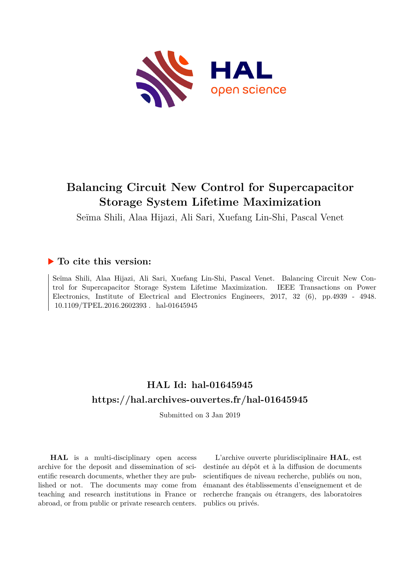

# **Balancing Circuit New Control for Supercapacitor Storage System Lifetime Maximization**

Seïma Shili, Alaa Hijazi, Ali Sari, Xuefang Lin-Shi, Pascal Venet

## **To cite this version:**

Seïma Shili, Alaa Hijazi, Ali Sari, Xuefang Lin-Shi, Pascal Venet. Balancing Circuit New Control for Supercapacitor Storage System Lifetime Maximization. IEEE Transactions on Power Electronics, Institute of Electrical and Electronics Engineers, 2017, 32 (6), pp.4939 - 4948.  $10.1109/TPEL.2016.2602393$ . hal-01645945

## **HAL Id: hal-01645945 <https://hal.archives-ouvertes.fr/hal-01645945>**

Submitted on 3 Jan 2019

**HAL** is a multi-disciplinary open access archive for the deposit and dissemination of scientific research documents, whether they are published or not. The documents may come from teaching and research institutions in France or abroad, or from public or private research centers.

L'archive ouverte pluridisciplinaire **HAL**, est destinée au dépôt et à la diffusion de documents scientifiques de niveau recherche, publiés ou non, émanant des établissements d'enseignement et de recherche français ou étrangers, des laboratoires publics ou privés.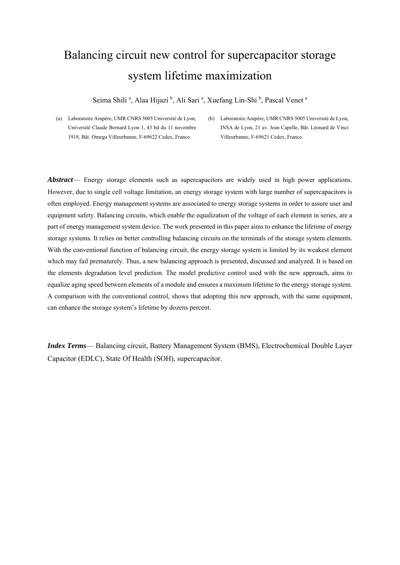# Balancing circuit new control for supercapacitor storage system lifetime maximization

Seima Shili<sup>a</sup>, Alaa Hijazi <sup>b</sup>, Ali Sari<sup>a</sup>, Xuefang Lin-Shi<sup>b</sup>, Pascal Venet<sup>a</sup>

(b) Laboratoire Ampère, UMR CNRS 5005 Université de Lyon, INSA de Lyon, 21 av. Jean Capelle, Bât. Léonard de Vinci Villeurbanne, F-69621 Cedex, France.

*Abstract*— Energy storage elements such as supercapacitors are widely used in high power applications. However, due to single cell voltage limitation, an energy storage system with large number of supercapacitors is often employed. Energy management systems are associated to energy storage systems in order to assure user and equipment safety. Balancing circuits, which enable the equalization of the voltage of each element in series, are a part of energy management system device. The work presented in this paper aims to enhance the lifetime of energy storage systems. It relies on better controlling balancing circuits on the terminals of the storage system elements. With the conventional function of balancing circuit, the energy storage system is limited by its weakest element which may fail prematurely. Thus, a new balancing approach is presented, discussed and analyzed. It is based on the elements degradation level prediction. The model predictive control used with the new approach, aims to equalize aging speed between elements of a module and ensures a maximum lifetime to the energy storage system. A comparison with the conventional control, shows that adopting this new approach, with the same equipment, can enhance the storage system's lifetime by dozens percent.

*Index Terms*— Balancing circuit, Battery Management System (BMS), Electrochemical Double Layer Capacitor (EDLC), State Of Health (SOH), supercapacitor.

<sup>(</sup>a) Laboratoire Ampère, UMR CNRS 5005 Université de Lyon, Université Claude Bernard Lyon 1, 43 bd du 11 novembre 1918, Bât. Omega Villeurbanne, F-69622 Cedex, France.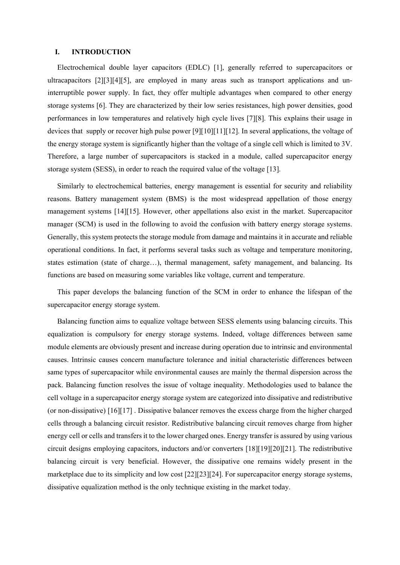#### **I. INTRODUCTION**

Electrochemical double layer capacitors (EDLC) [1], generally referred to supercapacitors or ultracapacitors [2][3][4][5], are employed in many areas such as transport applications and uninterruptible power supply. In fact, they offer multiple advantages when compared to other energy storage systems [6]. They are characterized by their low series resistances, high power densities, good performances in low temperatures and relatively high cycle lives [7][8]. This explains their usage in devices that supply or recover high pulse power [9][10][11][12]. In several applications, the voltage of the energy storage system is significantly higher than the voltage of a single cell which is limited to 3V. Therefore, a large number of supercapacitors is stacked in a module, called supercapacitor energy storage system (SESS), in order to reach the required value of the voltage [13].

Similarly to electrochemical batteries, energy management is essential for security and reliability reasons. Battery management system (BMS) is the most widespread appellation of those energy management systems [14][15]. However, other appellations also exist in the market. Supercapacitor manager (SCM) is used in the following to avoid the confusion with battery energy storage systems. Generally, this system protects the storage module from damage and maintains it in accurate and reliable operational conditions. In fact, it performs several tasks such as voltage and temperature monitoring, states estimation (state of charge…), thermal management, safety management, and balancing. Its functions are based on measuring some variables like voltage, current and temperature.

This paper develops the balancing function of the SCM in order to enhance the lifespan of the supercapacitor energy storage system.

Balancing function aims to equalize voltage between SESS elements using balancing circuits. This equalization is compulsory for energy storage systems. Indeed, voltage differences between same module elements are obviously present and increase during operation due to intrinsic and environmental causes. Intrinsic causes concern manufacture tolerance and initial characteristic differences between same types of supercapacitor while environmental causes are mainly the thermal dispersion across the pack. Balancing function resolves the issue of voltage inequality. Methodologies used to balance the cell voltage in a supercapacitor energy storage system are categorized into dissipative and redistributive (or non-dissipative) [16][17] . Dissipative balancer removes the excess charge from the higher charged cells through a balancing circuit resistor. Redistributive balancing circuit removes charge from higher energy cell or cells and transfers it to the lower charged ones. Energy transfer is assured by using various circuit designs employing capacitors, inductors and/or converters [18][19][20][21]. The redistributive balancing circuit is very beneficial. However, the dissipative one remains widely present in the marketplace due to its simplicity and low cost [22][23][24]. For supercapacitor energy storage systems, dissipative equalization method is the only technique existing in the market today.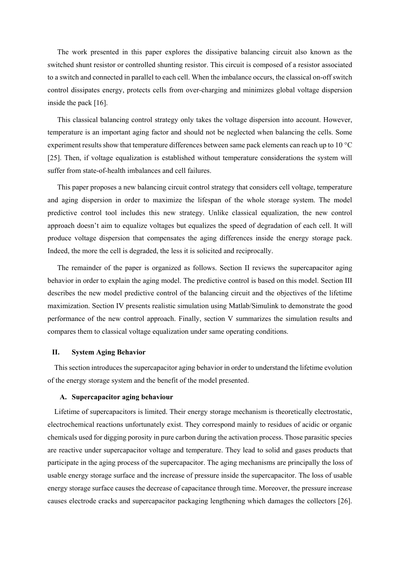The work presented in this paper explores the dissipative balancing circuit also known as the switched shunt resistor or controlled shunting resistor. This circuit is composed of a resistor associated to a switch and connected in parallel to each cell. When the imbalance occurs, the classical on-off switch control dissipates energy, protects cells from over-charging and minimizes global voltage dispersion inside the pack [16].

This classical balancing control strategy only takes the voltage dispersion into account. However, temperature is an important aging factor and should not be neglected when balancing the cells. Some experiment results show that temperature differences between same pack elements can reach up to 10 °C [25]. Then, if voltage equalization is established without temperature considerations the system will suffer from state-of-health imbalances and cell failures.

This paper proposes a new balancing circuit control strategy that considers cell voltage, temperature and aging dispersion in order to maximize the lifespan of the whole storage system. The model predictive control tool includes this new strategy. Unlike classical equalization, the new control approach doesn't aim to equalize voltages but equalizes the speed of degradation of each cell. It will produce voltage dispersion that compensates the aging differences inside the energy storage pack. Indeed, the more the cell is degraded, the less it is solicited and reciprocally.

The remainder of the paper is organized as follows. Section II reviews the supercapacitor aging behavior in order to explain the aging model. The predictive control is based on this model. Section III describes the new model predictive control of the balancing circuit and the objectives of the lifetime maximization. Section IV presents realistic simulation using Matlab/Simulink to demonstrate the good performance of the new control approach. Finally, section V summarizes the simulation results and compares them to classical voltage equalization under same operating conditions.

#### **II. System Aging Behavior**

This section introduces the supercapacitor aging behavior in order to understand the lifetime evolution of the energy storage system and the benefit of the model presented.

#### **A. Supercapacitor aging behaviour**

Lifetime of supercapacitors is limited. Their energy storage mechanism is theoretically electrostatic, electrochemical reactions unfortunately exist. They correspond mainly to residues of acidic or organic chemicals used for digging porosity in pure carbon during the activation process. Those parasitic species are reactive under supercapacitor voltage and temperature. They lead to solid and gases products that participate in the aging process of the supercapacitor. The aging mechanisms are principally the loss of usable energy storage surface and the increase of pressure inside the supercapacitor. The loss of usable energy storage surface causes the decrease of capacitance through time. Moreover, the pressure increase causes electrode cracks and supercapacitor packaging lengthening which damages the collectors [26].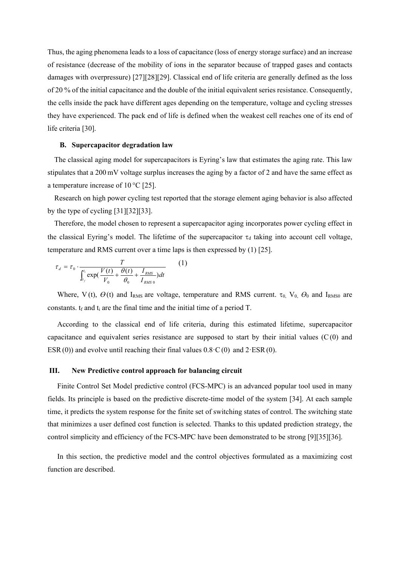Thus, the aging phenomena leads to a loss of capacitance (loss of energy storage surface) and an increase of resistance (decrease of the mobility of ions in the separator because of trapped gases and contacts damages with overpressure) [27][28][29]. Classical end of life criteria are generally defined as the loss of 20 % of the initial capacitance and the double of the initial equivalent series resistance. Consequently, the cells inside the pack have different ages depending on the temperature, voltage and cycling stresses they have experienced. The pack end of life is defined when the weakest cell reaches one of its end of life criteria [30].

#### **B. Supercapacitor degradation law**

The classical aging model for supercapacitors is Eyring's law that estimates the aging rate. This law stipulates that a 200 mV voltage surplus increases the aging by a factor of 2 and have the same effect as a temperature increase of  $10^{\circ}$ C [25].

Research on high power cycling test reported that the storage element aging behavior is also affected by the type of cycling [31][32][33].

Therefore, the model chosen to represent a supercapacitor aging incorporates power cycling effect in the classical Eyring's model. The lifetime of the supercapacitor  $\tau_d$  taking into account cell voltage, temperature and RMS current over a time laps is then expressed by (1) [25].

$$
\tau_d = \tau_0 \cdot \frac{T}{\int_{t_f}^{t_i} \exp(\frac{V(t)}{V_0} + \frac{\theta(t)}{\theta_0} + \frac{I_{RMS}}{I_{RMS}})dt} \tag{1}
$$

Where, V(t),  $\Theta$ (t) and I<sub>RMS</sub> are voltage, temperature and RMS current.  $\tau_0$ ,  $V_0$ ,  $\Theta_0$  and I<sub>RMS0</sub> are constants.  $t_f$  and  $t_i$  are the final time and the initial time of a period T.

According to the classical end of life criteria, during this estimated lifetime, supercapacitor capacitance and equivalent series resistance are supposed to start by their initial values  $(C(0)$  and ESR(0)) and evolve until reaching their final values  $0.8 \cdot C(0)$  and  $2 \cdot ESR(0)$ .

#### **III. New Predictive control approach for balancing circuit**

Finite Control Set Model predictive control (FCS-MPC) is an advanced popular tool used in many fields. Its principle is based on the predictive discrete-time model of the system [34]. At each sample time, it predicts the system response for the finite set of switching states of control. The switching state that minimizes a user defined cost function is selected. Thanks to this updated prediction strategy, the control simplicity and efficiency of the FCS-MPC have been demonstrated to be strong [9][35][36].

In this section, the predictive model and the control objectives formulated as a maximizing cost function are described.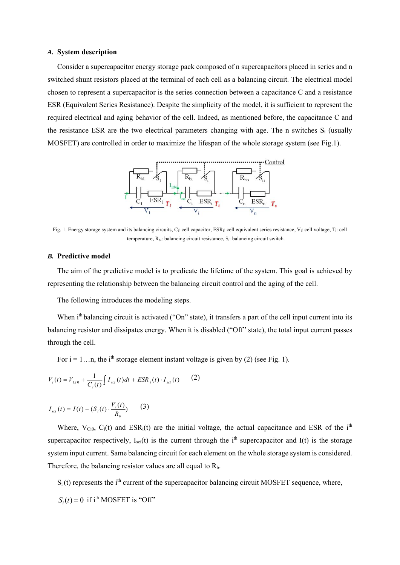#### *A.* **System description**

Consider a supercapacitor energy storage pack composed of n supercapacitors placed in series and n switched shunt resistors placed at the terminal of each cell as a balancing circuit. The electrical model chosen to represent a supercapacitor is the series connection between a capacitance C and a resistance ESR (Equivalent Series Resistance). Despite the simplicity of the model, it is sufficient to represent the required electrical and aging behavior of the cell. Indeed, as mentioned before, the capacitance C and the resistance ESR are the two electrical parameters changing with age. The n switches  $S_i$  (usually MOSFET) are controlled in order to maximize the lifespan of the whole storage system (see Fig.1).



Fig. 1. Energy storage system and its balancing circuits, C<sub>i</sub>: cell capacitor, ESR<sub>i</sub>: cell equivalent series resistance, V<sub>i</sub>: cell voltage, T<sub>i</sub>: cell temperature,  $R_{bi}$ : balancing circuit resistance,  $S_i$ : balancing circuit switch.

#### *B.* **Predictive model**

The aim of the predictive model is to predicate the lifetime of the system. This goal is achieved by representing the relationship between the balancing circuit control and the aging of the cell.

The following introduces the modeling steps.

When i<sup>th</sup> balancing circuit is activated ("On" state), it transfers a part of the cell input current into its balancing resistor and dissipates energy. When it is disabled ("Off" state), the total input current passes through the cell.

For  $i = 1...n$ , the i<sup>th</sup> storage element instant voltage is given by (2) (see Fig. 1).

$$
V_i(t) = V_{Ci0} + \frac{1}{C_i(t)} \int I_{sci}(t) dt + ESR_i(t) \cdot I_{sci}(t) \qquad (2)
$$

$$
I_{sci}(t) = I(t) - (S_i(t) \cdot \frac{V_i(t)}{R_b})
$$
 (3)

Where,  $V_{\text{Ci}0}$ ,  $C_i(t)$  and  $ESR_i(t)$  are the initial voltage, the actual capacitance and ESR of the i<sup>th</sup> supercapacitor respectively,  $I_{\text{sci}}(t)$  is the current through the i<sup>th</sup> supercapacitor and I(t) is the storage system input current. Same balancing circuit for each element on the whole storage system is considered. Therefore, the balancing resistor values are all equal to  $R_b$ .

 $S_i(t)$  represents the i<sup>th</sup> current of the supercapacitor balancing circuit MOSFET sequence, where,

 $S_i(t) = 0$  if i<sup>th</sup> MOSFET is "Off"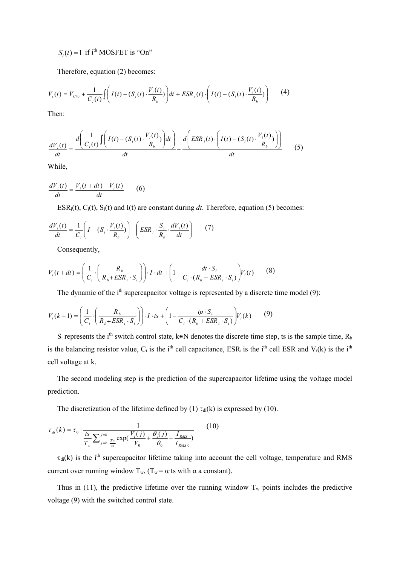## $S_i(t) = 1$  if i<sup>th</sup> MOSFET is "On"

Therefore, equation (2) becomes:

$$
V_i(t) = V_{Ci0} + \frac{1}{C_i(t)} \int \left( I(t) - (S_i(t) \cdot \frac{V_i(t)}{R_b}) \right) dt + ESR_i(t) \cdot \left( I(t) - (S_i(t) \cdot \frac{V_i(t)}{R_b}) \right) \tag{4}
$$

Then:

$$
\frac{dV_i(t)}{dt} = \frac{d\left(\frac{1}{C_i(t)}\int \left(I(t) - (S_i(t) \cdot \frac{V_i(t)}{R_b})\right)dt\right)}{dt} + \frac{d\left(ESR_i(t) \cdot \left(I(t) - (S_i(t) \cdot \frac{V_i(t)}{R_b})\right)\right)}{dt}
$$
(5)

While,

*dt*  $V_i(t + dt) - V_i(t)$  $\frac{dV_i(t)}{dt} = \frac{V_i(t + dt) - V_i(t)}{dt}$  (6)

ESR<sub>i</sub>(t), C<sub>i</sub>(t), S<sub>i</sub>(t) and I(t) are constant during *dt*. Therefore, equation (5) becomes:

$$
\frac{dV_i(t)}{dt} = \frac{1}{C_i} \left( I - (S_i \cdot \frac{V_i(t)}{R_b}) \right) - \left( ESR_i \cdot \frac{S_i}{R_b} \cdot \frac{dV_i(t)}{dt} \right) \tag{7}
$$

Consequently,

$$
V_i(t+dt) = \left(\frac{1}{C_i} \cdot \left(\frac{R_b}{R_b + ESR_i \cdot S_i}\right)\right) \cdot I \cdot dt + \left(1 - \frac{dt \cdot S_i}{C_i \cdot (R_b + ESR_i \cdot S_i)}\right) V_i(t) \tag{8}
$$

The dynamic of the i<sup>th</sup> supercapacitor voltage is represented by a discrete time model (9):

$$
V_i(k+1) = \left(\frac{1}{C_i} \cdot \left(\frac{R_b}{R_b + ESR_i \cdot S_i}\right)\right) \cdot I \cdot ts + \left(1 - \frac{tp \cdot S_i}{C_i \cdot (R_b + ESR_i \cdot S_i)}\right) V_i(k) \tag{9}
$$

S<sub>i</sub> represents the i<sup>th</sup> switch control state, k∈N denotes the discrete time step, ts is the sample time, R<sub>b</sub> is the balancing resistor value, C<sub>i</sub> is the i<sup>th</sup> cell capacitance, ESR<sub>i</sub> is the i<sup>th</sup> cell ESR and V<sub>i</sub>(k) is the i<sup>th</sup> cell voltage at k.

The second modeling step is the prediction of the supercapacitor lifetime using the voltage model prediction.

The discretization of the lifetime defined by (1)  $\tau_{di}(k)$  is expressed by (10).

$$
\tau_{di}(k) = \tau_0 \cdot \frac{1}{\frac{ts}{T_w} \sum_{j=k-\frac{Tw}{ts}}^{j=k} \exp(\frac{V_i(j)}{V_0} + \frac{\theta_i(j)}{\theta_0} + \frac{I_{RMS}}{I_{RMS0}})}
$$
(10)

 $\tau_{di}(k)$  is the i<sup>th</sup> supercapacitor lifetime taking into account the cell voltage, temperature and RMS current over running window  $T_w$ ,  $(T_w = \alpha$ ·ts with  $\alpha$  a constant).

Thus in (11), the predictive lifetime over the running window  $T_w$  points includes the predictive voltage (9) with the switched control state.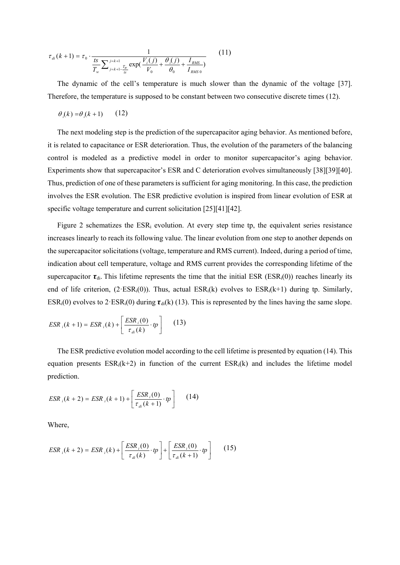$$
\tau_{di}(k+1) = \tau_0 \cdot \frac{1}{\frac{ts}{T_w} \sum_{j=k+1}^{j=k+1} \frac{T_w}{ts} \exp(\frac{V_i(j)}{V_0} + \frac{\theta_i(j)}{\theta_0} + \frac{I_{RMS}}{I_{RMS 0}})}
$$
(11)

The dynamic of the cell's temperature is much slower than the dynamic of the voltage [37]. Therefore, the temperature is supposed to be constant between two consecutive discrete times (12).

$$
\theta_i(k) = \theta_i(k+1) \qquad (12)
$$

The next modeling step is the prediction of the supercapacitor aging behavior. As mentioned before, it is related to capacitance or ESR deterioration. Thus, the evolution of the parameters of the balancing control is modeled as a predictive model in order to monitor supercapacitor's aging behavior. Experiments show that supercapacitor's ESR and C deterioration evolves simultaneously [38][39][40]. Thus, prediction of one of these parameters is sufficient for aging monitoring. In this case, the prediction involves the ESR evolution. The ESR predictive evolution is inspired from linear evolution of ESR at specific voltage temperature and current solicitation [25][41][42].

Figure 2 schematizes the  $ESR_i$  evolution. At every step time tp, the equivalent series resistance increases linearly to reach its following value. The linear evolution from one step to another depends on the supercapacitor solicitations (voltage, temperature and RMS current). Indeed, during a period of time, indication about cell temperature, voltage and RMS current provides the corresponding lifetime of the supercapacitor  $\tau_{di}$ . This lifetime represents the time that the initial ESR (ESR<sub>i</sub>(0)) reaches linearly its end of life criterion,  $(2·ESR<sub>i</sub>(0))$ . Thus, actual  $ESR<sub>i</sub>(k)$  evolves to  $ESR<sub>i</sub>(k+1)$  during tp. Similarly,  $ESR_i(0)$  evolves to 2 $ESR_i(0)$  during  $\tau_{di}(k)$  (13). This is represented by the lines having the same slope.

$$
ESR_i(k+1) = ESR_i(k) + \left[\frac{ESR_i(0)}{\tau_{di}(k)} \cdot tp\right] \qquad (13)
$$

The ESR predictive evolution model according to the cell lifetime is presented by equation (14). This equation presents  $ESR_i(k+2)$  in function of the current  $ESR_i(k)$  and includes the lifetime model prediction.

$$
ESR_{i}(k+2) = ESR_{i}(k+1) + \left[\frac{ESR_{i}(0)}{\tau_{di}(k+1)} \cdot tp\right]
$$
 (14)

Where,

$$
ESR_{i}(k+2) = ESR_{i}(k) + \left[\frac{ESR_{i}(0)}{\tau_{di}(k)} \cdot tp\right] + \left[\frac{ESR_{i}(0)}{\tau_{di}(k+1)} \cdot tp\right]
$$
(15)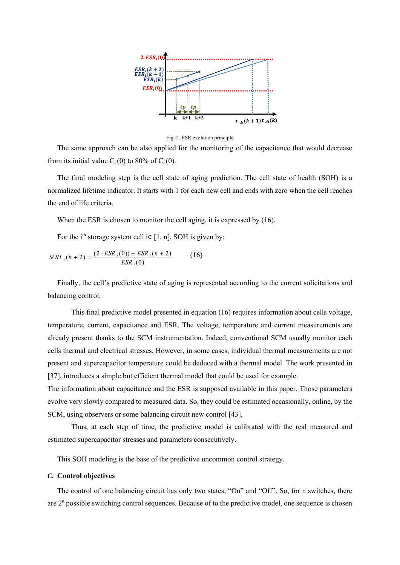

Fig. 2. ESR evolution principle

The same approach can be also applied for the monitoring of the capacitance that would decrease from its initial value  $C_i(0)$  to 80% of  $C_i(0)$ .

The final modeling step is the cell state of aging prediction. The cell state of health (SOH) is a normalized lifetime indicator. It starts with 1 for each new cell and ends with zero when the cell reaches the end of life criteria.

When the ESR is chosen to monitor the cell aging, it is expressed by (16).

For the i<sup>th</sup> storage system cell i $\in$  [1, n], SOH is given by:

$$
SOH_{i}(k+2) = \frac{(2 \cdot ESR_{i}(0)) - ESR_{i}(k+2)}{ESR_{i}(0)} \tag{16}
$$

Finally, the cell's predictive state of aging is represented according to the current solicitations and balancing control.

This final predictive model presented in equation (16) requires information about cells voltage, temperature, current, capacitance and ESR. The voltage, temperature and current measurements are already present thanks to the SCM instrumentation. Indeed, conventional SCM usually monitor each cells thermal and electrical stresses. However, in some cases, individual thermal measurements are not present and supercapacitor temperature could be deduced with a thermal model. The work presented in [37], introduces a simple but efficient thermal model that could be used for example.

The information about capacitance and the ESR is supposed available in this paper. Those parameters evolve very slowly compared to measured data. So, they could be estimated occasionally, online, by the SCM, using observers or some balancing circuit new control [43].

Thus, at each step of time, the predictive model is calibrated with the real measured and estimated supercapacitor stresses and parameters consecutively.

This SOH modeling is the base of the predictive uncommon control strategy.

#### *C.* **Control objectives**

The control of one balancing circuit has only two states, "On" and "Off". So, for n switches, there are  $2<sup>n</sup>$  possible switching control sequences. Because of to the predictive model, one sequence is chosen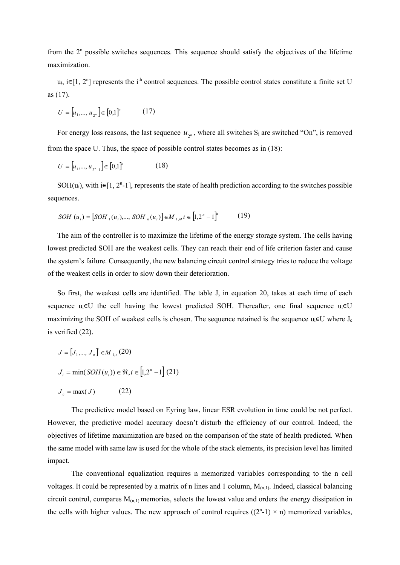from the  $2<sup>n</sup>$  possible switches sequences. This sequence should satisfy the objectives of the lifetime maximization.

u<sub>i</sub>, i∈[1, 2<sup>n</sup>] represents the i<sup>th</sup> control sequences. The possible control states constitute a finite set U as (17).

$$
U = [u_1, \dots, u_{2^n}] \in [0,1]^n \tag{17}
$$

For energy loss reasons, the last sequence  $u_{\gamma}$ , where all switches S<sub>i</sub> are switched "On", is removed from the space U. Thus, the space of possible control states becomes as in (18):

$$
U = [u_1, \dots, u_{2^n-1}] \in [0,1]^n \tag{18}
$$

SOH $(u_i)$ , with i $\in [1, 2^n-1]$ , represents the state of health prediction according to the switches possible sequences.

$$
SOH (u_i) = [SOH_1(u_i),..., SOH_n(u_i)] \in M_{1,n}, i \in [1,2^n - 1]^n
$$
 (19)

The aim of the controller is to maximize the lifetime of the energy storage system. The cells having lowest predicted SOH are the weakest cells. They can reach their end of life criterion faster and cause the system's failure. Consequently, the new balancing circuit control strategy tries to reduce the voltage of the weakest cells in order to slow down their deterioration.

So first, the weakest cells are identified. The table J, in equation 20, takes at each time of each sequence u<sub>i</sub>∈U the cell having the lowest predicted SOH. Thereafter, one final sequence u<sub>i</sub>∈U maximizing the SOH of weakest cells is chosen. The sequence retained is the sequence  $u_i \in U$  where  $J_c$ is verified (22).

$$
J = [J_1, ..., J_n] \in M_{1,n}(20)
$$
  
\n
$$
J_i = \min(SOH(u_i)) \in \mathfrak{R}, i \in [1, 2^n - 1] \quad (21)
$$
  
\n
$$
J_c = \max(J) \quad (22)
$$

The predictive model based on Eyring law, linear ESR evolution in time could be not perfect. However, the predictive model accuracy doesn't disturb the efficiency of our control. Indeed, the objectives of lifetime maximization are based on the comparison of the state of health predicted. When the same model with same law is used for the whole of the stack elements, its precision level has limited impact.

The conventional equalization requires n memorized variables corresponding to the n cell voltages. It could be represented by a matrix of n lines and 1 column,  $M_{(n,1)}$ . Indeed, classical balancing circuit control, compares  $M_{(n,1)}$  memories, selects the lowest value and orders the energy dissipation in the cells with higher values. The new approach of control requires  $((2<sup>n</sup>-1) \times n)$  memorized variables,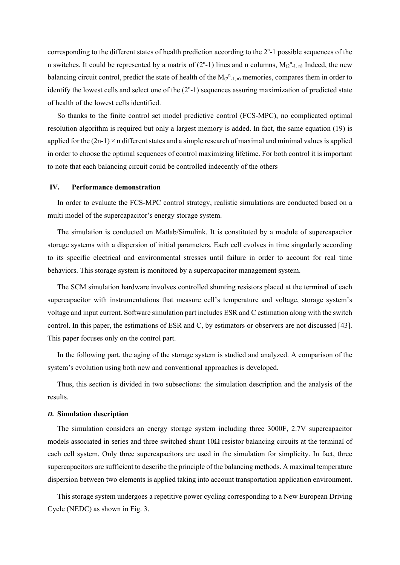corresponding to the different states of health prediction according to the  $2<sup>n</sup>$ -1 possible sequences of the n switches. It could be represented by a matrix of  $(2<sup>n</sup>-1)$  lines and n columns,  $M_{(2<sup>n</sup>-1, n)}$ . Indeed, the new balancing circuit control, predict the state of health of the  $M_{(2^{n}-1,n)}$  memories, compares them in order to identify the lowest cells and select one of the  $(2<sup>n</sup>-1)$  sequences assuring maximization of predicted state of health of the lowest cells identified.

So thanks to the finite control set model predictive control (FCS-MPC), no complicated optimal resolution algorithm is required but only a largest memory is added. In fact, the same equation (19) is applied for the  $(2n-1) \times n$  different states and a simple research of maximal and minimal values is applied in order to choose the optimal sequences of control maximizing lifetime. For both control it is important to note that each balancing circuit could be controlled indecently of the others

#### **IV. Performance demonstration**

In order to evaluate the FCS-MPC control strategy, realistic simulations are conducted based on a multi model of the supercapacitor's energy storage system.

The simulation is conducted on Matlab/Simulink. It is constituted by a module of supercapacitor storage systems with a dispersion of initial parameters. Each cell evolves in time singularly according to its specific electrical and environmental stresses until failure in order to account for real time behaviors. This storage system is monitored by a supercapacitor management system.

The SCM simulation hardware involves controlled shunting resistors placed at the terminal of each supercapacitor with instrumentations that measure cell's temperature and voltage, storage system's voltage and input current. Software simulation part includes ESR and C estimation along with the switch control. In this paper, the estimations of ESR and C, by estimators or observers are not discussed [43]. This paper focuses only on the control part.

In the following part, the aging of the storage system is studied and analyzed. A comparison of the system's evolution using both new and conventional approaches is developed.

Thus, this section is divided in two subsections: the simulation description and the analysis of the results.

#### *D.* **Simulation description**

The simulation considers an energy storage system including three 3000F, 2.7V supercapacitor models associated in series and three switched shunt 10Ω resistor balancing circuits at the terminal of each cell system. Only three supercapacitors are used in the simulation for simplicity. In fact, three supercapacitors are sufficient to describe the principle of the balancing methods. A maximal temperature dispersion between two elements is applied taking into account transportation application environment.

This storage system undergoes a repetitive power cycling corresponding to a New European Driving Cycle (NEDC) as shown in Fig. 3.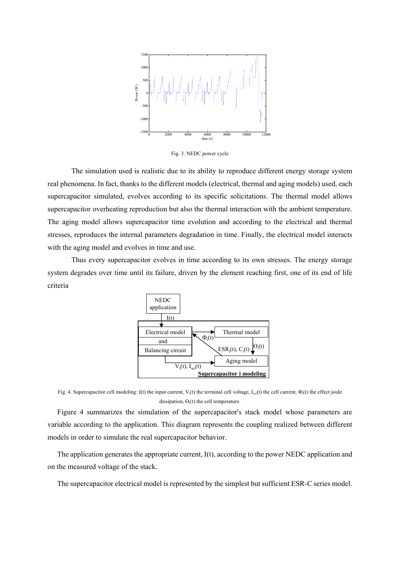

Fig. 3. NEDC power cycle

The simulation used is realistic due to its ability to reproduce different energy storage system real phenomena. In fact, thanks to the different models (electrical, thermal and aging models) used, each supercapacitor simulated, evolves according to its specific solicitations. The thermal model allows supercapacitor overheating reproduction but also the thermal interaction with the ambient temperature. The aging model allows supercapacitor time evolution and according to the electrical and thermal stresses, reproduces the internal parameters degradation in time. Finally, the electrical model interacts with the aging model and evolves in time and use.

Thus every supercapacitor evolves in time according to its own stresses. The energy storage system degrades over time until its failure, driven by the element reaching first, one of its end of life criteria



Fig. 4. Supercapacitor cell modeling: I(t) the input current, V<sub>i</sub>(t) the terminal cell voltage, I<sub>sci</sub>(t) the cell current,  $\Phi_i(t)$  the effect joule dissipation,  $\Theta_i(t)$  the cell temperature.

Figure 4 summarizes the simulation of the supercapacitor's stack model whose parameters are variable according to the application. This diagram represents the coupling realized between different models in order to simulate the real supercapacitor behavior.

The application generates the appropriate current, I(t), according to the power NEDC application and on the measured voltage of the stack.

The supercapacitor electrical model is represented by the simplest but sufficient ESR-C series model.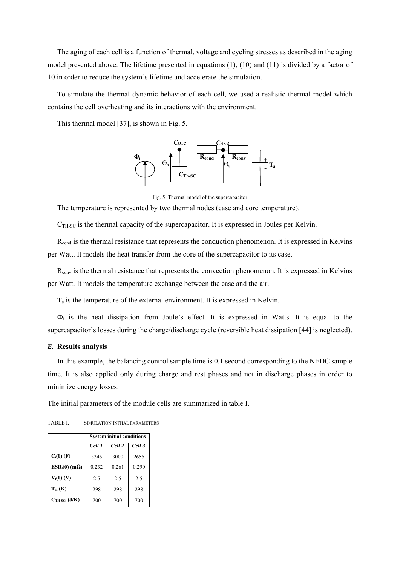The aging of each cell is a function of thermal, voltage and cycling stresses as described in the aging model presented above. The lifetime presented in equations (1), (10) and (11) is divided by a factor of 10 in order to reduce the system's lifetime and accelerate the simulation.

To simulate the thermal dynamic behavior of each cell, we used a realistic thermal model which contains the cell overheating and its interactions with the environment.

This thermal model [37], is shown in Fig. 5.



Fig. 5. Thermal model of the supercapacitor

The temperature is represented by two thermal nodes (case and core temperature).

 $C<sub>TH-SC</sub>$  is the thermal capacity of the supercapacitor. It is expressed in Joules per Kelvin.

R<sub>cond</sub> is the thermal resistance that represents the conduction phenomenon. It is expressed in Kelvins per Watt. It models the heat transfer from the core of the supercapacitor to its case.

R<sub>conv</sub> is the thermal resistance that represents the convection phenomenon. It is expressed in Kelvins per Watt. It models the temperature exchange between the case and the air.

 $T_a$  is the temperature of the external environment. It is expressed in Kelvin.

 $\Phi_i$  is the heat dissipation from Joule's effect. It is expressed in Watts. It is equal to the supercapacitor's losses during the charge/discharge cycle (reversible heat dissipation [44] is neglected).

#### *E.* **Results analysis**

In this example, the balancing control sample time is 0.1 second corresponding to the NEDC sample time. It is also applied only during charge and rest phases and not in discharge phases in order to minimize energy losses.

The initial parameters of the module cells are summarized in table I.

TABLE I. SIMULATION INITIAL PARAMETERS

|                          | <b>System initial conditions</b> |        |        |
|--------------------------|----------------------------------|--------|--------|
|                          | Cell 1                           | Cell 2 | Cell 3 |
| $C_i(0)$ (F)             | 3345                             | 3000   | 2655   |
| $ESR_i(0)$ (m $\Omega$ ) | 0.232                            | 0.261  | 0.290  |
| $V_i(0)$ (V)             | 2.5                              | 2.5    | 2.5    |
| $T_{ai}$ (K)             | 298                              | 298    | 298    |
| $CTH-SCi (J/K)$          | 700                              | 700    | 700    |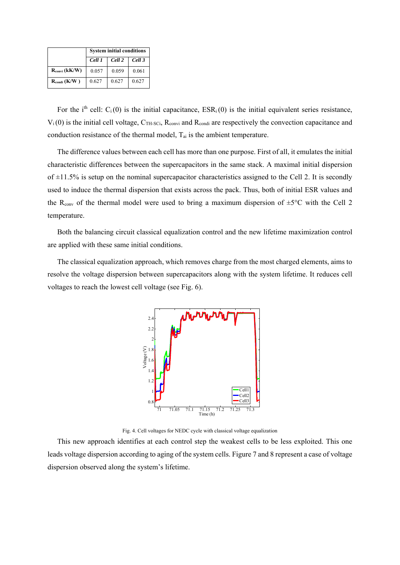|                           | <b>System initial conditions</b> |        |        |
|---------------------------|----------------------------------|--------|--------|
|                           | Cell 1                           | Cell 2 | Cell 3 |
| $R_{\text{convi}}$ (kK/W) | 0.057                            | 0.059  | 0.061  |
| $R_{\text{condi}}$ (K/W)  | 0.627                            | 0.627  | 0.627  |

For the i<sup>th</sup> cell:  $C_i(0)$  is the initial capacitance,  $ESR_i(0)$  is the initial equivalent series resistance,  $V_i(0)$  is the initial cell voltage,  $C_{TH-SCi}$ ,  $R_{convi}$  and  $R_{condi}$  are respectively the convection capacitance and conduction resistance of the thermal model,  $T_{ai}$  is the ambient temperature.

The difference values between each cell has more than one purpose. First of all, it emulates the initial characteristic differences between the supercapacitors in the same stack. A maximal initial dispersion of  $\pm 11.5\%$  is setup on the nominal supercapacitor characteristics assigned to the Cell 2. It is secondly used to induce the thermal dispersion that exists across the pack. Thus, both of initial ESR values and the R<sub>conv</sub> of the thermal model were used to bring a maximum dispersion of  $\pm$ 5°C with the Cell 2 temperature.

Both the balancing circuit classical equalization control and the new lifetime maximization control are applied with these same initial conditions.

The classical equalization approach, which removes charge from the most charged elements, aims to resolve the voltage dispersion between supercapacitors along with the system lifetime. It reduces cell voltages to reach the lowest cell voltage (see Fig. 6).



Fig. 4. Cell voltages for NEDC cycle with classical voltage equalization

This new approach identifies at each control step the weakest cells to be less exploited. This one leads voltage dispersion according to aging of the system cells. Figure 7 and 8 represent a case of voltage dispersion observed along the system's lifetime.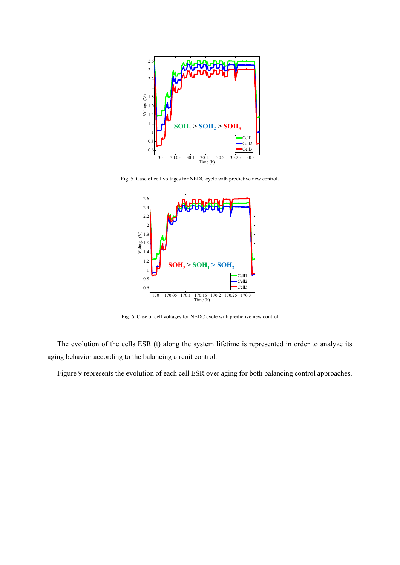

Fig. 5. Case of cell voltages for NEDC cycle with predictive new control**.** 



Fig. 6. Case of cell voltages for NEDC cycle with predictive new control

The evolution of the cells  $ESR_i(t)$  along the system lifetime is represented in order to analyze its aging behavior according to the balancing circuit control.

Figure 9 represents the evolution of each cell ESR over aging for both balancing control approaches.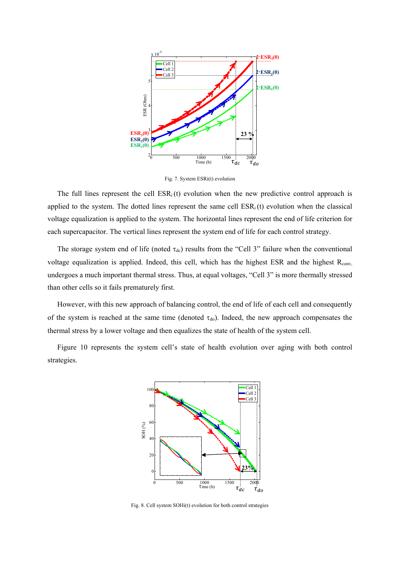

Fig. 7. System ESRi(t) evolution

The full lines represent the cell  $ESR_i(t)$  evolution when the new predictive control approach is applied to the system. The dotted lines represent the same cell  $ESR_i(t)$  evolution when the classical voltage equalization is applied to the system. The horizontal lines represent the end of life criterion for each supercapacitor. The vertical lines represent the system end of life for each control strategy.

The storage system end of life (noted  $\tau_{dc}$ ) results from the "Cell 3" failure when the conventional voltage equalization is applied. Indeed, this cell, which has the highest ESR and the highest R<sub>conv,</sub> undergoes a much important thermal stress. Thus, at equal voltages, "Cell 3" is more thermally stressed than other cells so it fails prematurely first.

However, with this new approach of balancing control, the end of life of each cell and consequently of the system is reached at the same time (denoted  $\tau_{do}$ ). Indeed, the new approach compensates the thermal stress by a lower voltage and then equalizes the state of health of the system cell.

Figure 10 represents the system cell's state of health evolution over aging with both control strategies.



Fig. 8. Cell system SOHi(t) evolution for both control strategies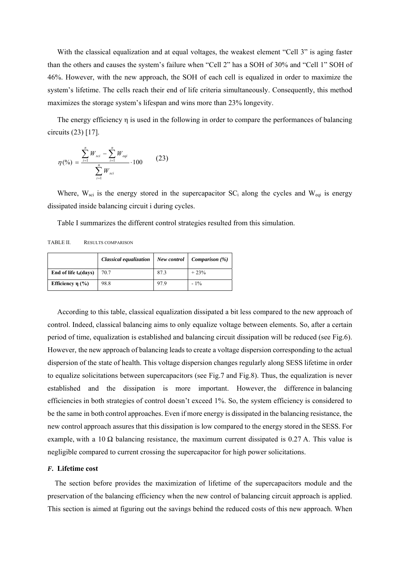With the classical equalization and at equal voltages, the weakest element "Cell 3" is aging faster than the others and causes the system's failure when "Cell 2" has a SOH of 30% and "Cell 1" SOH of 46%. However, with the new approach, the SOH of each cell is equalized in order to maximize the system's lifetime. The cells reach their end of life criteria simultaneously. Consequently, this method maximizes the storage system's lifespan and wins more than 23% longevity.

The energy efficiency η is used in the following in order to compare the performances of balancing circuits (23) [17].

$$
\eta(\%) = \frac{\sum_{i=1}^{n} W_{sci} - \sum_{i=1}^{n} W_{eqi}}{\sum_{i=1}^{n} W_{sci}} \cdot 100
$$
 (23)

Where,  $W_{\text{sci}}$  is the energy stored in the supercapacitor  $SC_i$  along the cycles and  $W_{\text{eq}}$  is energy dissipated inside balancing circuit i during cycles.

Table I summarizes the different control strategies resulted from this simulation.

TABLE II. RESULTS COMPARISON

|                          | Classical equalization | New control | <i>Comparison</i> $(\%)$ |
|--------------------------|------------------------|-------------|--------------------------|
| End of life $t_d$ (days) | 70.7                   | 87.3        | $+23%$                   |
| Efficiency η $(%$ )      | 98.8                   | 97.9        | $-1\%$                   |

According to this table, classical equalization dissipated a bit less compared to the new approach of control. Indeed, classical balancing aims to only equalize voltage between elements. So, after a certain period of time, equalization is established and balancing circuit dissipation will be reduced (see Fig.6). However, the new approach of balancing leads to create a voltage dispersion corresponding to the actual dispersion of the state of health. This voltage dispersion changes regularly along SESS lifetime in order to equalize solicitations between supercapacitors (see Fig.7 and Fig.8). Thus, the equalization is never established and the dissipation is more important. However, the difference in balancing efficiencies in both strategies of control doesn't exceed 1%. So, the system efficiency is considered to be the same in both control approaches. Even if more energy is dissipated in the balancing resistance, the new control approach assures that this dissipation is low compared to the energy stored in the SESS. For example, with a 10  $\Omega$  balancing resistance, the maximum current dissipated is 0.27 A. This value is negligible compared to current crossing the supercapacitor for high power solicitations.

#### *F.* **Lifetime cost**

The section before provides the maximization of lifetime of the supercapacitors module and the preservation of the balancing efficiency when the new control of balancing circuit approach is applied. This section is aimed at figuring out the savings behind the reduced costs of this new approach. When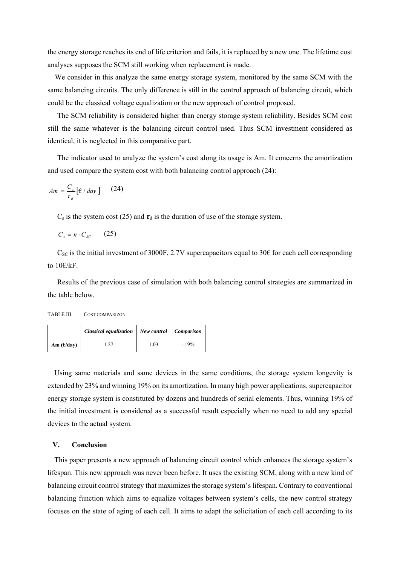the energy storage reaches its end of life criterion and fails, it is replaced by a new one. The lifetime cost analyses supposes the SCM still working when replacement is made.

We consider in this analyze the same energy storage system, monitored by the same SCM with the same balancing circuits. The only difference is still in the control approach of balancing circuit, which could be the classical voltage equalization or the new approach of control proposed.

The SCM reliability is considered higher than energy storage system reliability. Besides SCM cost still the same whatever is the balancing circuit control used. Thus SCM investment considered as identical, it is neglected in this comparative part.

The indicator used to analyze the system's cost along its usage is Am. It concerns the amortization and used compare the system cost with both balancing control approach (24):

$$
Am = \frac{C_s}{\tau_d} \left[ \frac{\epsilon}{\omega} \right] \quad (24)
$$

 $C_s$  is the system cost (25) and  $\tau_d$  is the duration of use of the storage system.

 $C_s = n \cdot C_{sc}$  (25)

 $C_{SC}$  is the initial investment of 3000F, 2.7V supercapacitors equal to 30€ for each cell corresponding to 10€/kF.

 Results of the previous case of simulation with both balancing control strategies are summarized in the table below.

| TABLE III. | COST COMPARIZON |
|------------|-----------------|
|------------|-----------------|

|                      | Classical equalization   New control   Comparison |      |        |
|----------------------|---------------------------------------------------|------|--------|
| Am $(\epsilon$ /day) | 1.27                                              | 1.03 | $-19%$ |

Using same materials and same devices in the same conditions, the storage system longevity is extended by 23% and winning 19% on its amortization. In many high power applications, supercapacitor energy storage system is constituted by dozens and hundreds of serial elements. Thus, winning 19% of the initial investment is considered as a successful result especially when no need to add any special devices to the actual system.

#### **V. Conclusion**

This paper presents a new approach of balancing circuit control which enhances the storage system's lifespan. This new approach was never been before. It uses the existing SCM, along with a new kind of balancing circuit control strategy that maximizes the storage system's lifespan. Contrary to conventional balancing function which aims to equalize voltages between system's cells, the new control strategy focuses on the state of aging of each cell. It aims to adapt the solicitation of each cell according to its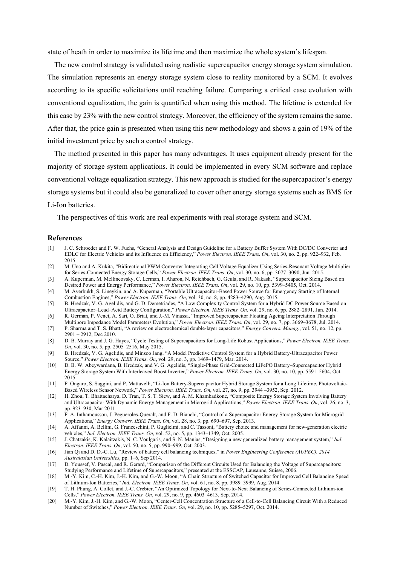state of heath in order to maximize its lifetime and then maximize the whole system's lifespan.

The new control strategy is validated using realistic supercapacitor energy storage system simulation. The simulation represents an energy storage system close to reality monitored by a SCM. It evolves according to its specific solicitations until reaching failure. Comparing a critical case evolution with conventional equalization, the gain is quantified when using this method. The lifetime is extended for this case by 23% with the new control strategy. Moreover, the efficiency of the system remains the same. After that, the price gain is presented when using this new methodology and shows a gain of 19% of the initial investment price by such a control strategy.

The method presented in this paper has many advantages. It uses equipment already present for the majority of storage system applications. It could be implemented in every SCM software and replace conventional voltage equalization strategy. This new approach is studied for the supercapacitor's energy storage systems but it could also be generalized to cover other energy storage systems such as BMS for Li-Ion batteries.

The perspectives of this work are real experiments with real storage system and SCM.

#### **References**

- [1] J. C. Schroeder and F. W. Fuchs, "General Analysis and Design Guideline for a Battery Buffer System With DC/DC Converter and EDLC for Electric Vehicles and its Influence on Efficiency," *Power Electron. IEEE Trans. On*, vol. 30, no. 2, pp. 922–932, Feb. 2015.
- [2] M. Uno and A. Kukita, "Bidirectional PWM Converter Integrating Cell Voltage Equalizer Using Series-Resonant Voltage Multiplier for Series-Connected Energy Storage Cells," *Power Electron. IEEE Trans. On*, vol. 30, no. 6, pp. 3077–3090, Jun. 2015.
- [3] A. Kuperman, M. Mellincovsky, C. Lerman, I. Aharon, N. Reichbach, G. Geula, and R. Nakash, "Supercapacitor Sizing Based on Desired Power and Energy Performance," *Power Electron. IEEE Trans. On*, vol. 29, no. 10, pp. 5399–5405, Oct. 2014.
- [4] M. Averbukh, S. Lineykin, and A. Kuperman, "Portable Ultracapacitor-Based Power Source for Emergency Starting of Internal Combustion Engines," *Power Electron. IEEE Trans. On*, vol. 30, no. 8, pp. 4283–4290, Aug. 2015.
- [5] B. Hredzak, V. G. Agelidis, and G. D. Demetriades, "A Low Complexity Control System for a Hybrid DC Power Source Based on Ultracapacitor–Lead–Acid Battery Configuration," *Power Electron. IEEE Trans. On*, vol. 29, no. 6, pp. 2882–2891, Jun. 2014.
- [6] R. German, P. Venet, A. Sari, O. Briat, and J.-M. Vinassa, "Improved Supercapacitor Floating Ageing Interpretation Through Multipore Impedance Model Parameters Evolution," *Power Electron. IEEE Trans. On*, vol. 29, no. 7, pp. 3669–3678, Jul. 2014.
- [7] P. Sharma and T. S. Bhatti, "A review on electrochemical double-layer capacitors," *Energy Convers. Manag.*, vol. 51, no. 12, pp. 2901 – 2912, Dec 2010.
- [8] D. B. Murray and J. G. Hayes, "Cycle Testing of Supercapacitors for Long-Life Robust Applications," *Power Electron. IEEE Trans. On*, vol. 30, no. 5, pp. 2505–2516, May 2015.
- [9] B. Hredzak, V. G. Agelidis, and Minsoo Jang, "A Model Predictive Control System for a Hybrid Battery-Ultracapacitor Power Source," *Power Electron. IEEE Trans. On*, vol. 29, no. 3, pp. 1469–1479, Mar. 2014.
- [10] D. B. W. Abeywardana, B. Hredzak, and V. G. Agelidis, "Single-Phase Grid-Connected LiFePO Battery–Supercapacitor Hybrid Energy Storage System With Interleaved Boost Inverter," *Power Electron. IEEE Trans. On*, vol. 30, no. 10, pp. 5591–5604, Oct. 2015.
- [11] F. Ongaro, S. Saggini, and P. Mattavelli, "Li-Ion Battery-Supercapacitor Hybrid Storage System for a Long Lifetime, Photovoltaic-Based Wireless Sensor Network," *Power Electron. IEEE Trans. On*, vol. 27, no. 9, pp. 3944 –3952, Sep. 2012.
- [12] H. Zhou, T. Bhattacharya, D. Tran, T. S. T. Siew, and A. M. Khambadkone, "Composite Energy Storage System Involving Battery and Ultracapacitor With Dynamic Energy Management in Microgrid Applications," *Power Electron. IEEE Trans. On*, vol. 26, no. 3, pp. 923–930, Mar 2011.
- [13] F. A. Inthamoussou, J. Pegueroles-Queralt, and F. D. Bianchi, "Control of a Supercapacitor Energy Storage System for Microgrid Applications," *Energy Convers. IEEE Trans. On*, vol. 28, no. 3, pp. 690–697, Sep. 2013.
- [14] A. Affanni, A. Bellini, G. Franceschini, P. Guglielmi, and C. Tassoni, "Battery choice and management for new-generation electric vehicles," *Ind. Electron. IEEE Trans. On*, vol. 52, no. 5, pp. 1343–1349, Oct. 2005.
- [15] J. Chatzakis, K. Kalaitzakis, N. C. Voulgaris, and S. N. Manias, "Designing a new generalized battery management system," *Ind. Electron. IEEE Trans. On*, vol. 50, no. 5, pp. 990–999, Oct. 2003.
- [16] Jian Qi and D. D.-C. Lu, "Review of battery cell balancing techniques," in *Power Engineering Conference (AUPEC), 2014 Australasian Universities*, pp. 1–6, Sep 2014.
- [17] D. Youssef, V. Pascal, and R. Gerard, "Comparison of the Different Circuits Used for Balancing the Voltage of Supercapacitors: Studying Performance and Lifetime of Supercapacitors," presented at the ESSCAP, Lausanne, Suisse, 2006.
- [18] M.-Y. Kim, C.-H. Kim, J.-H. Kim, and G.-W. Moon, "A Chain Structure of Switched Capacitor for Improved Cell Balancing Speed of Lithium-Ion Batteries," *Ind. Electron. IEEE Trans. On*, vol. 61, no. 8, pp. 3989–3999, Aug. 2014.
- [19] T. H. Phung, A. Collet, and J.-C. Crebier, "An Optimized Topology for Next-to-Next Balancing of Series-Connected Lithium-ion Cells," *Power Electron. IEEE Trans. On*, vol. 29, no. 9, pp. 4603–4613, Sep. 2014.
- [20] M.-Y. Kim, J.-H. Kim, and G.-W. Moon, "Center-Cell Concentration Structure of a Cell-to-Cell Balancing Circuit With a Reduced Number of Switches," *Power Electron. IEEE Trans. On*, vol. 29, no. 10, pp. 5285–5297, Oct. 2014.